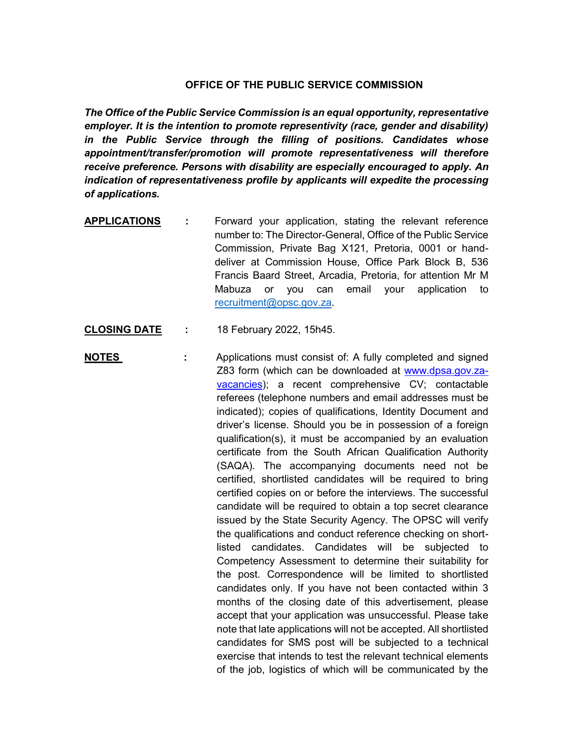## **OFFICE OF THE PUBLIC SERVICE COMMISSION**

*The Office of the Public Service Commission is an equal opportunity, representative employer. It is the intention to promote representivity (race, gender and disability) in the Public Service through the filling of positions. Candidates whose appointment/transfer/promotion will promote representativeness will therefore receive preference. Persons with disability are especially encouraged to apply. An indication of representativeness profile by applicants will expedite the processing of applications.*

- **APPLICATIONS :** Forward your application, stating the relevant reference number to: The Director-General, Office of the Public Service Commission, Private Bag X121, Pretoria, 0001 or handdeliver at Commission House, Office Park Block B, 536 Francis Baard Street, Arcadia, Pretoria, for attention Mr M Mabuza or you can email your application to [recruitment@opsc.gov.za.](mailto:recruitment@opsc.gov.za)
- **CLOSING DATE :** 18 February 2022, 15h45.
- **NOTES** : Applications must consist of: A fully completed and signed Z83 form (which can be downloaded at [www.dpsa.gov.za](http://www.dpsa.gov.za-vacancies/)[vacancies\)](http://www.dpsa.gov.za-vacancies/); a recent comprehensive CV; contactable referees (telephone numbers and email addresses must be indicated); copies of qualifications, Identity Document and driver's license. Should you be in possession of a foreign qualification(s), it must be accompanied by an evaluation certificate from the South African Qualification Authority (SAQA). The accompanying documents need not be certified, shortlisted candidates will be required to bring certified copies on or before the interviews. The successful candidate will be required to obtain a top secret clearance issued by the State Security Agency. The OPSC will verify the qualifications and conduct reference checking on shortlisted candidates. Candidates will be subjected to Competency Assessment to determine their suitability for the post. Correspondence will be limited to shortlisted candidates only. If you have not been contacted within 3 months of the closing date of this advertisement, please accept that your application was unsuccessful. Please take note that late applications will not be accepted. All shortlisted candidates for SMS post will be subjected to a technical exercise that intends to test the relevant technical elements of the job, logistics of which will be communicated by the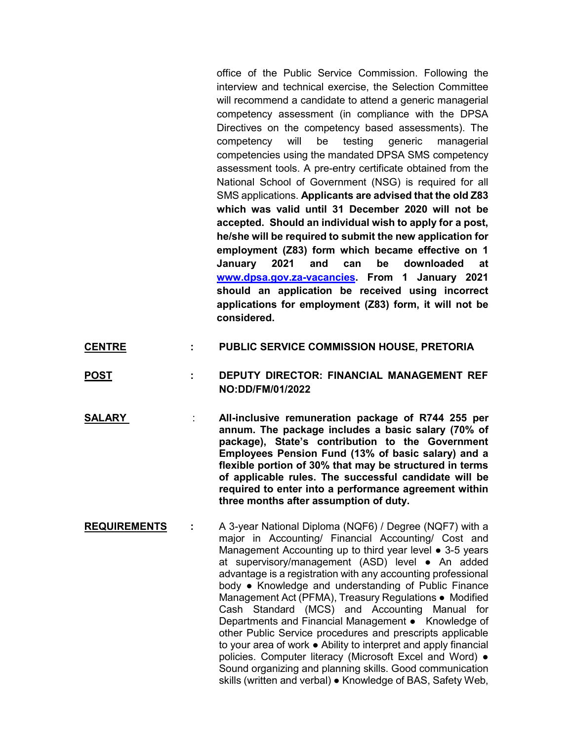office of the Public Service Commission. Following the interview and technical exercise, the Selection Committee will recommend a candidate to attend a generic managerial competency assessment (in compliance with the DPSA Directives on the competency based assessments). The competency will be testing generic managerial competencies using the mandated DPSA SMS competency assessment tools. A pre-entry certificate obtained from the National School of Government (NSG) is required for all SMS applications. **Applicants are advised that the old Z83 which was valid until 31 December 2020 will not be accepted. Should an individual wish to apply for a post, he/she will be required to submit the new application for employment (Z83) form which became effective on 1 January 2021 and can be downloaded at [www.dpsa.gov.za-vacancies.](http://www.dpsa.gov.za-vacancies/) From 1 January 2021 should an application be received using incorrect applications for employment (Z83) form, it will not be considered.**

- **CENTRE : PUBLIC SERVICE COMMISSION HOUSE, PRETORIA**
- **POST : DEPUTY DIRECTOR: FINANCIAL MANAGEMENT REF NO:DD/FM/01/2022**
- **SALARY** : **All-inclusive remuneration package of R744 255 per annum. The package includes a basic salary (70% of package), State's contribution to the Government Employees Pension Fund (13% of basic salary) and a flexible portion of 30% that may be structured in terms of applicable rules. The successful candidate will be required to enter into a performance agreement within three months after assumption of duty.**
- **REQUIREMENTS :** A 3-year National Diploma (NQF6) / Degree (NQF7) with a major in Accounting/ Financial Accounting/ Cost and Management Accounting up to third year level • 3-5 years at supervisory/management (ASD) level ● An added advantage is a registration with any accounting professional body ● Knowledge and understanding of Public Finance Management Act (PFMA), Treasury Regulations ● Modified Cash Standard (MCS) and Accounting Manual for Departments and Financial Management ● Knowledge of other Public Service procedures and prescripts applicable to your area of work ● Ability to interpret and apply financial policies. Computer literacy (Microsoft Excel and Word) ● Sound organizing and planning skills. Good communication skills (written and verbal) ● Knowledge of BAS, Safety Web,